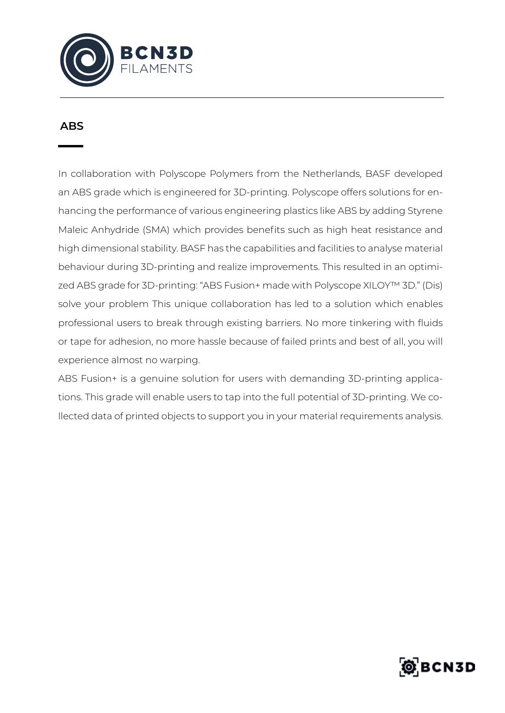

## **ABS**

In collaboration with Polyscope Polymers from the Netherlands, BASF developed an ABS grade which is engineered for 3D-printing. Polyscope offers solutions for enhancing the performance of various engineering plastics like ABS by adding Styrene Maleic Anhydride (SMA) which provides benefits such as high heat resistance and high dimensional stability. BASF has the capabilities and facilities to analyse material behaviour during 3D-printing and realize improvements. This resulted in an optimized ABS grade for 3D-printing: "ABS Fusion+ made with Polyscope XILOY™ 3D." (Dis) solve your problem This unique collaboration has led to a solution which enables professional users to break through existing barriers. No more tinkering with fluids or tape for adhesion, no more hassle because of failed prints and best of all, you will experience almost no warping.

ABS Fusion+ is a genuine solution for users with demanding 3D-printing applications. This grade will enable users to tap into the full potential of 3D-printing. We collected data of printed objects to support you in your material requirements analysis.